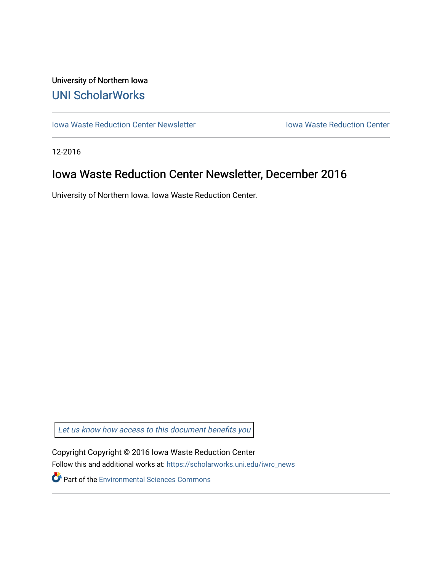## University of Northern Iowa [UNI ScholarWorks](https://scholarworks.uni.edu/)

[Iowa Waste Reduction Center Newsletter](https://scholarworks.uni.edu/iwrc_news) **Internal Communist Communist Center** Iowa Waste Reduction Center

12-2016

# Iowa Waste Reduction Center Newsletter, December 2016

University of Northern Iowa. Iowa Waste Reduction Center.

Let us know how access to this document benefits you

Copyright Copyright © 2016 Iowa Waste Reduction Center Follow this and additional works at: [https://scholarworks.uni.edu/iwrc\\_news](https://scholarworks.uni.edu/iwrc_news?utm_source=scholarworks.uni.edu%2Fiwrc_news%2F67&utm_medium=PDF&utm_campaign=PDFCoverPages) 

**Part of the [Environmental Sciences Commons](http://network.bepress.com/hgg/discipline/167?utm_source=scholarworks.uni.edu%2Fiwrc_news%2F67&utm_medium=PDF&utm_campaign=PDFCoverPages)**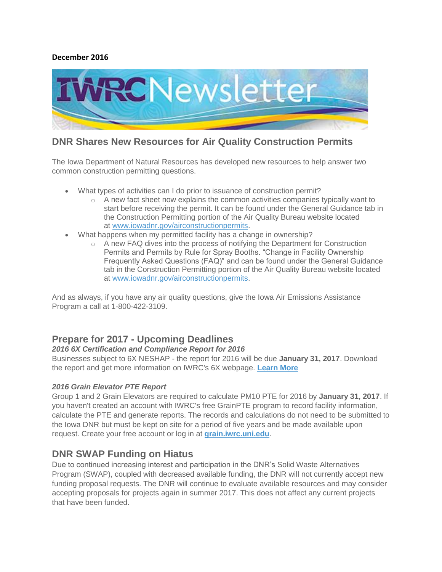#### **December 2016**



### **DNR Shares New Resources for Air Quality Construction Permits**

The Iowa Department of Natural Resources has developed new resources to help answer two common construction permitting questions.

- What types of activities can I do prior to issuance of construction permit?
	- $\circ$  A new fact sheet now explains the common activities companies typically want to start before receiving the permit. It can be found under the General Guidance tab in the Construction Permitting portion of the Air Quality Bureau website located at [www.iowadnr.gov/airconstructionpermits.](http://links.govdelivery.com/track?type=click&enid=ZWFzPTEmbWFpbGluZ2lkPTIwMTYxMjEzLjY3NTY4ODIxJm1lc3NhZ2VpZD1NREItUFJELUJVTC0yMDE2MTIxMy42NzU2ODgyMSZkYXRhYmFzZWlkPTEwMDEmc2VyaWFsPTE3MzcxNjk1JmVtYWlsaWQ9dHJhY3kuZmFocmlvbkBkbnIuaW93YS5nb3YmdXNlcmlkPXRyYWN5LmZhaHJpb25AZG5yLmlvd2EuZ292JmZsPSZleHRyYT1NdWx0aXZhcmlhdGVJZD0mJiY=&&&101&&&http://www.iowadnr.gov/airconstructionpermits?utm_medium=email&utm_source=govdelivery)
- What happens when my permitted facility has a change in ownership?
	- $\circ$  A new FAQ dives into the process of notifying the Department for Construction Permits and Permits by Rule for Spray Booths. "Change in Facility Ownership Frequently Asked Questions (FAQ)" and can be found under the General Guidance tab in the Construction Permitting portion of the Air Quality Bureau website located at [www.iowadnr.gov/airconstructionpermits.](http://links.govdelivery.com/track?type=click&enid=ZWFzPTEmbWFpbGluZ2lkPTIwMTYxMjEzLjY3NTY4ODIxJm1lc3NhZ2VpZD1NREItUFJELUJVTC0yMDE2MTIxMy42NzU2ODgyMSZkYXRhYmFzZWlkPTEwMDEmc2VyaWFsPTE3MzcxNjk1JmVtYWlsaWQ9dHJhY3kuZmFocmlvbkBkbnIuaW93YS5nb3YmdXNlcmlkPXRyYWN5LmZhaHJpb25AZG5yLmlvd2EuZ292JmZsPSZleHRyYT1NdWx0aXZhcmlhdGVJZD0mJiY=&&&102&&&http://www.iowadnr.gov/airconstructionpermits?utm_medium=email&utm_source=govdelivery)

And as always, if you have any air quality questions, give the Iowa Air Emissions Assistance Program a call at 1-800-422-3109.

### **Prepare for 2017 - Upcoming Deadlines**

#### *2016 6X Certification and Compliance Report for 2016*

Businesses subject to 6X NESHAP - the report for 2016 will be due **January 31, 2017**. Download the report and get more information on IWRC's 6X webpage. **[Learn More](https://iwrc.uni.edu/regulatory-information/neshap/metal-fabrication-and-finishing-source-categories-rule)**

#### *2016 Grain Elevator PTE Report*

Group 1 and 2 Grain Elevators are required to calculate PM10 PTE for 2016 by **January 31, 2017**. If you haven't created an account with IWRC's free GrainPTE program to record facility information, calculate the PTE and generate reports. The records and calculations do not need to be submitted to the Iowa DNR but must be kept on site for a period of five years and be made available upon request. Create your free account or log in at **[grain.iwrc.uni.edu](http://grain.iwrc.uni.edu/)**.

### **DNR SWAP Funding on Hiatus**

Due to continued increasing interest and participation in the DNR's Solid Waste Alternatives Program (SWAP), coupled with decreased available funding, the DNR will not currently accept new funding proposal requests. The DNR will continue to evaluate available resources and may consider accepting proposals for projects again in summer 2017. This does not affect any current projects that have been funded.